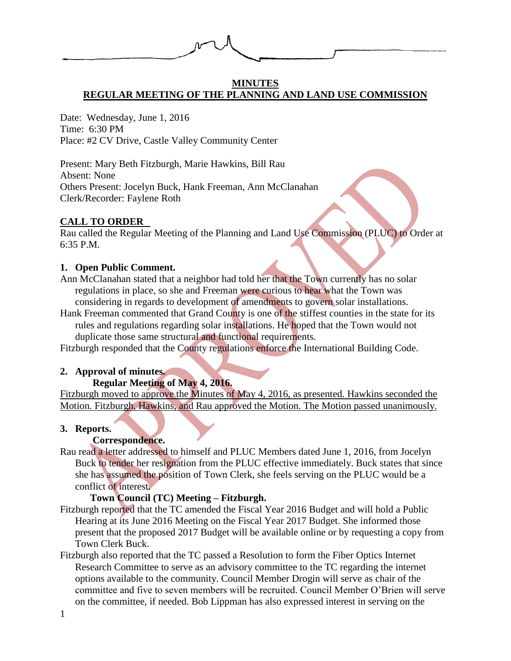

### **MINUTES REGULAR MEETING OF THE PLANNING AND LAND USE COMMISSION**

Date: Wednesday, June 1, 2016 Time: 6:30 PM Place: #2 CV Drive, Castle Valley Community Center

Present: Mary Beth Fitzburgh, Marie Hawkins, Bill Rau Absent: None Others Present: Jocelyn Buck, Hank Freeman, Ann McClanahan Clerk/Recorder: Faylene Roth

## **CALL TO ORDER**

Rau called the Regular Meeting of the Planning and Land Use Commission (PLUC) to Order at 6:35 P.M.

## **1. Open Public Comment.**

- Ann McClanahan stated that a neighbor had told her that the Town currently has no solar regulations in place, so she and Freeman were curious to hear what the Town was considering in regards to development of amendments to govern solar installations.
- Hank Freeman commented that Grand County is one of the stiffest counties in the state for its rules and regulations regarding solar installations. He hoped that the Town would not duplicate those same structural and functional requirements.

Fitzburgh responded that the County regulations enforce the International Building Code.

### **2. Approval of minutes.**

## **Regular Meeting of May 4, 2016.**

Fitzburgh moved to approve the Minutes of May 4, 2016, as presented. Hawkins seconded the Motion. Fitzburgh, Hawkins, and Rau approved the Motion. The Motion passed unanimously.

### **3. Reports.**

## **Correspondence.**

Rau read a letter addressed to himself and PLUC Members dated June 1, 2016, from Jocelyn Buck to tender her resignation from the PLUC effective immediately. Buck states that since she has assumed the position of Town Clerk, she feels serving on the PLUC would be a conflict of interest.

## **Town Council (TC) Meeting – Fitzburgh.**

- Fitzburgh reported that the TC amended the Fiscal Year 2016 Budget and will hold a Public Hearing at its June 2016 Meeting on the Fiscal Year 2017 Budget. She informed those present that the proposed 2017 Budget will be available online or by requesting a copy from Town Clerk Buck.
- Fitzburgh also reported that the TC passed a Resolution to form the Fiber Optics Internet Research Committee to serve as an advisory committee to the TC regarding the internet options available to the community. Council Member Drogin will serve as chair of the committee and five to seven members will be recruited. Council Member O'Brien will serve on the committee, if needed. Bob Lippman has also expressed interest in serving on the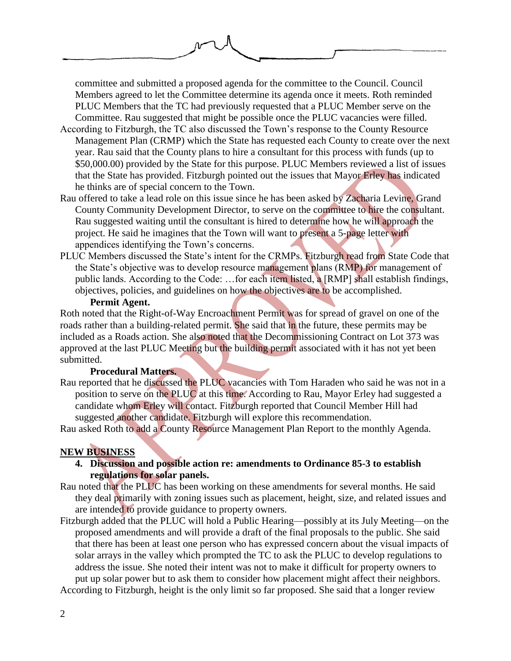committee and submitted a proposed agenda for the committee to the Council. Council Members agreed to let the Committee determine its agenda once it meets. Roth reminded PLUC Members that the TC had previously requested that a PLUC Member serve on the Committee. Rau suggested that might be possible once the PLUC vacancies were filled.

- According to Fitzburgh, the TC also discussed the Town's response to the County Resource Management Plan (CRMP) which the State has requested each County to create over the next year. Rau said that the County plans to hire a consultant for this process with funds (up to \$50,000.00) provided by the State for this purpose. PLUC Members reviewed a list of issues that the State has provided. Fitzburgh pointed out the issues that Mayor Erley has indicated he thinks are of special concern to the Town.
- Rau offered to take a lead role on this issue since he has been asked by Zacharia Levine, Grand County Community Development Director, to serve on the committee to hire the consultant. Rau suggested waiting until the consultant is hired to determine how he will approach the project. He said he imagines that the Town will want to present a 5-page letter with appendices identifying the Town's concerns.
- PLUC Members discussed the State's intent for the CRMPs. Fitzburgh read from State Code that the State's objective was to develop resource management plans (RMP) for management of public lands. According to the Code: …for each item listed, a [RMP] shall establish findings, objectives, policies, and guidelines on how the objectives are to be accomplished.

#### **Permit Agent.**

Roth noted that the Right-of-Way Encroachment Permit was for spread of gravel on one of the roads rather than a building-related permit. She said that in the future, these permits may be included as a Roads action. She also noted that the Decommissioning Contract on Lot 373 was approved at the last PLUC Meeting but the building permit associated with it has not yet been submitted.

### **Procedural Matters.**

Rau reported that he discussed the PLUC vacancies with Tom Haraden who said he was not in a position to serve on the PLUC at this time. According to Rau, Mayor Erley had suggested a candidate whom Erley will contact. Fitzburgh reported that Council Member Hill had suggested another candidate. Fitzburgh will explore this recommendation.

Rau asked Roth to add a County Resource Management Plan Report to the monthly Agenda.

### **NEW BUSINESS**

- **4. Discussion and possible action re: amendments to Ordinance 85-3 to establish regulations for solar panels.**
- Rau noted that the PLUC has been working on these amendments for several months. He said they deal primarily with zoning issues such as placement, height, size, and related issues and are intended to provide guidance to property owners.
- Fitzburgh added that the PLUC will hold a Public Hearing—possibly at its July Meeting—on the proposed amendments and will provide a draft of the final proposals to the public. She said that there has been at least one person who has expressed concern about the visual impacts of solar arrays in the valley which prompted the TC to ask the PLUC to develop regulations to address the issue. She noted their intent was not to make it difficult for property owners to put up solar power but to ask them to consider how placement might affect their neighbors.

According to Fitzburgh, height is the only limit so far proposed. She said that a longer review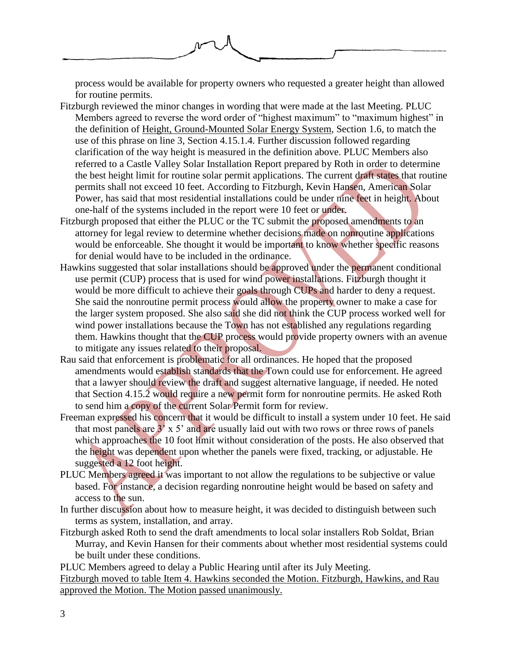

process would be available for property owners who requested a greater height than allowed for routine permits.

- Fitzburgh reviewed the minor changes in wording that were made at the last Meeting. PLUC Members agreed to reverse the word order of "highest maximum" to "maximum highest" in the definition of Height, Ground-Mounted Solar Energy System, Section 1.6, to match the use of this phrase on line 3, Section 4.15.1.4. Further discussion followed regarding clarification of the way height is measured in the definition above. PLUC Members also referred to a Castle Valley Solar Installation Report prepared by Roth in order to determine the best height limit for routine solar permit applications. The current draft states that routine permits shall not exceed 10 feet. According to Fitzburgh, Kevin Hansen, American Solar Power, has said that most residential installations could be under nine feet in height. About one-half of the systems included in the report were 10 feet or under.
- Fitzburgh proposed that either the PLUC or the TC submit the proposed amendments to an attorney for legal review to determine whether decisions made on nonroutine applications would be enforceable. She thought it would be important to know whether specific reasons for denial would have to be included in the ordinance.
- Hawkins suggested that solar installations should be approved under the permanent conditional use permit (CUP) process that is used for wind power installations. Fitzburgh thought it would be more difficult to achieve their goals through CUPs and harder to deny a request. She said the nonroutine permit process would allow the property owner to make a case for the larger system proposed. She also said she did not think the CUP process worked well for wind power installations because the Town has not established any regulations regarding them. Hawkins thought that the CUP process would provide property owners with an avenue to mitigate any issues related to their proposal.
- Rau said that enforcement is problematic for all ordinances. He hoped that the proposed amendments would establish standards that the Town could use for enforcement. He agreed that a lawyer should review the draft and suggest alternative language, if needed. He noted that Section 4.15.2 would require a new permit form for nonroutine permits. He asked Roth to send him a copy of the current Solar Permit form for review.
- Freeman expressed his concern that it would be difficult to install a system under 10 feet. He said that most panels are  $3' \times 5'$  and are usually laid out with two rows or three rows of panels which approaches the 10 foot limit without consideration of the posts. He also observed that the height was dependent upon whether the panels were fixed, tracking, or adjustable. He suggested a 12 foot height.
- PLUC Members agreed it was important to not allow the regulations to be subjective or value based. For instance, a decision regarding nonroutine height would be based on safety and access to the sun.
- In further discussion about how to measure height, it was decided to distinguish between such terms as system, installation, and array.
- Fitzburgh asked Roth to send the draft amendments to local solar installers Rob Soldat, Brian Murray, and Kevin Hansen for their comments about whether most residential systems could be built under these conditions.

PLUC Members agreed to delay a Public Hearing until after its July Meeting.

Fitzburgh moved to table Item 4. Hawkins seconded the Motion. Fitzburgh, Hawkins, and Rau approved the Motion. The Motion passed unanimously.